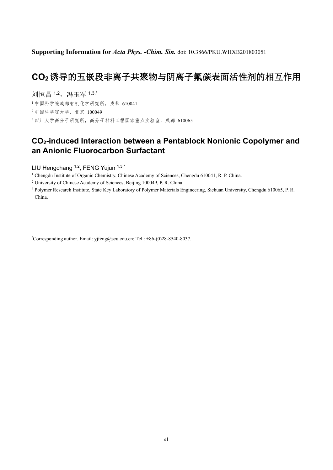**Supporting Information for** *Acta Phys. -Chim. Sin.* doi: 10.3866/PKU.WHXB201803051

# **CO2**诱导的五嵌段非离子共聚物与阴离子氟碳表面活性剂的相互作用

刘恒昌 1,2, 冯玉军 1,3,\* 中国科学院成都有机化学研究所,成都 610041 中国科学院大学,北京 100049 四川大学高分子研究所,高分子材料工程国家重点实验室,成都 610065

## **CO2-induced Interaction between a Pentablock Nonionic Copolymer and an Anionic Fluorocarbon Surfactant**

LIU Hengchang <sup>1,2</sup>, FENG Yujun <sup>1,3,\*</sup>

<sup>1</sup> Chengdu Institute of Organic Chemistry, Chinese Academy of Sciences, Chengdu 610041, R. P. China.

<sup>2</sup> University of Chinese Academy of Sciences, Beijing 100049, P. R. China.

<sup>3</sup> Polymer Research Institute, State Key Laboratory of Polymer Materials Engineering, Sichuan University, Chengdu 610065, P. R. China.

\*Corresponding author. Email: yjfeng@scu.edu.cn; Tel.: +86-(0)28-8540-8037.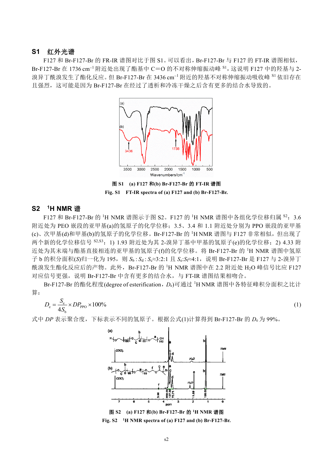#### **S1** 红外光谱

F127 和 Br-F127-Br 的 FR-IR 谱图对比于图 S1。可以看出,Br-F127-Br 与 F127 的 FT-IR 谱图相似,  $Br-F127-Br \text{ at } 1736 \text{ cm}^{-1}$ 附近处出现了酯基中  $C=O$  的不对称伸缩振动峰  $^{S1}$ , 这说明 F127 中的羟基与 2-溴异丁酰溴发生了酯化反应。但 Br-F127-Br 在 3436 cm<sup>-1</sup> 附近的羟基不对称伸缩振动吸收峰 <sup>S1</sup> 依旧存在 且强烈,这可能是因为 Br-F127-Br 在经过了透析和冷冻干燥之后含有更多的结合水导致的。



图 **S1 (a) F127** 和**(b) Br-F127-Br** 的 **FT-IR** 谱图 **Fig. S1 FT-IR spectra of (a) F127 and (b) Br-F127-Br.**

#### **S2 <sup>1</sup>H NMR** 谱

F127 和 Br-F127-Br 的 <sup>1</sup>H NMR 谱图示于图 S2。F127 的 <sup>1</sup>H NMR 谱图中各组化学位移归属 <sup>S2</sup>: 3.6 附近处为 PEO 嵌段的亚甲基(a)的氢原子的化学位移: 3.5、3.4 和 1.1 附近处分别为 PPO 嵌段的亚甲基 (c)、次甲基(d)和甲基(b)的氢原子的化学位移。Br-F127-Br 的 <sup>1</sup>H NMR 谱图与 F127 非常相似, 但出现了 两个新的化学位移信号 S2,S3: 1) 1.93 附近处为其 2-溴异丁基中甲基的氢原子(e)的化学位移; 2) 4.33 附 近处为其末端与酯基直接相连的亚甲基的氢原子(f)的化学位移。将 Br-F127-Br 的 <sup>1</sup>H NMR 谱图中氢原 子 b 的积分面积(S)归一化为 195, 则 Sb : Sd : Sc≈3:2:1 且 Se:Sf≈4:1, 说明 Br-F127-Br 是 F127 与 2-溴异丁 酰溴发生酯化反应后的产物。此外, Br-F127-Br 的 <sup>1</sup>H NMR 谱图中在 2.2 附近处 H<sub>2</sub>O 峰信号比应 F127 对应信号更强,说明 Br-F127-Br 中含有更多的结合水,与 FT-IR 谱图结果相吻合。

Br-F127-Br 的酯化程度(degree of esterification,  $D_e$ )可通过 <sup>1</sup>H NMR 谱图中各特征峰积分面积之比计 算:

$$
D_{\rm e} = \frac{S_{\rm e}}{4S_{\rm b}} \times DP_{\rm PPO} \times 100\%
$$
 (1)

式中 *DP* 表示聚合度,下标表示不同的氢原子。根据公式(1)计算得到 Br-F127-Br 的 *D*<sup>e</sup> 为 99%。



**Fig. S2 1H NMR spectra of (a) F127 and (b) Br-F127-Br.**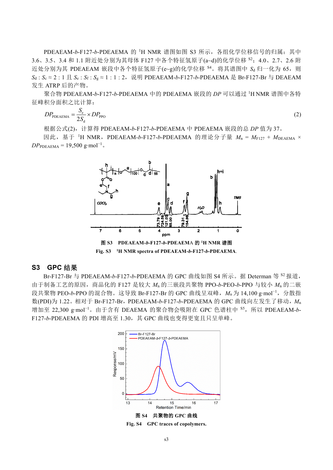PDEAEAM-*b*-F127-*b*-PDEAEMA 的<sup>1</sup>H NMR 谱图如图 S3 所示, 各组化学位移信号的归属: 其中 3.6、3.5、3.4 和 1.1 附近处分别为其母体 F127 中各个特征氢原子(a~d)的化学位移 <sup>S2</sup>; 4.0、2.7、2.6 附 近处分别为其 PDEAEAM 嵌段中各个特征氢原子(e~g)的化学位移 <sup>S4</sup>。将其谱图中 Sd 归一化为 65, 则  $S_d$  :  $S_c$  ≈ 2 : 1 且  $S_e$  :  $S_f$  :  $S_g$  ≈ 1 : 1 : 2, 说明 PDEAEAM-*b*-F127-*b*-PDEAEMA 是 Br-F127-Br 与 DEAEAM 发生 ATRP 后的产物。

聚合物 PDEAEAM-*b*-F127-*b*-PDEAEMA 中的 PDEAEMA 嵌段的 *DP* 可以通过 <sup>1</sup>H NMR 谱图中各特 征峰积分面积之比计算:

$$
DP_{\text{PDEAEMA}} = \frac{S_{\text{e}}}{2S_{\text{d}}} \times DP_{\text{PPO}} \tag{2}
$$

根据公式(2),计算得 PDEAEAM-*b*-F127-*b*-PDEAEMA 中 PDEAEMA 嵌段的总 *DP* 值为 37。

因此, 基于 <sup>1</sup>H NMR, PDEAEAM-*b*-F127-*b*-PDEAEMA 的理论分子量  $M_n = M_{F127} + M_{DEAEMA} \times$  $DP_{PDEAEMA} = 19,500$  g⋅mol<sup>-1</sup>.



**Fig. S3 <sup>1</sup>H NMR spectra of PDEAEAM-***b***-F127-***b***-PDEAEMA**.

### **S3 GPC** 结果

Br-F127-Br 与 PDEAEAM-*b*-F127-*b*-PDEAEMA 的 GPC 曲线如图 S4 所示。据 Determan 等 <sup>S2</sup> 报道, 由于制备工艺的原因,商品化的 F127 是较大 *M*<sup>n</sup> 的三嵌段共聚物 PPO-*b*-PEO-*b*-PPO 与较小 *M*<sup>n</sup> 的二嵌 段共聚物 PEO-*b*-PPO 的混合物。这导致 Br-F127-Br 的 GPC 曲线呈双峰,*M*<sup>n</sup> 为 14,100 g∙mol−1,分散指 数(PDI)为 1.22。相对于 Br-F127-Br, PDEAEAM-*b*-F127-*b*-PDEAEMA 的 GPC 曲线向左发生了移动, M<sub>n</sub> 增加至 22,300 g∙mol−1。由于含有 DEAEMA 的聚合物会吸附在 GPC 色谱柱中 S5,所以 PDEAEAM-*b*-F127-*b*-PDEAEMA 的 PDI 增高至 1.30,其 GPC 曲线也变得更宽且只呈单峰。



**Fig. S4 GPC traces of copolymers.**